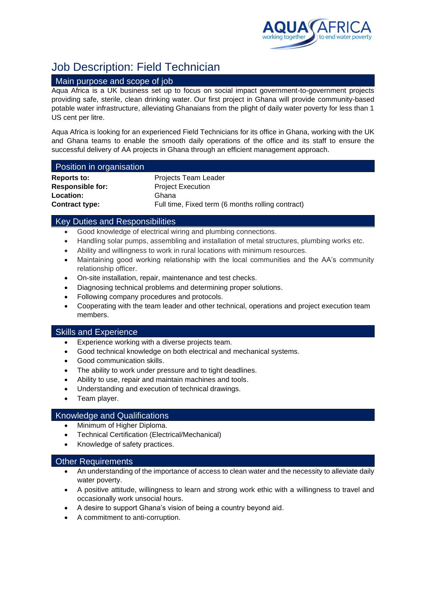

# Job Description: Field Technician

#### Main purpose and scope of job

Aqua Africa is a UK business set up to focus on social impact government-to-government projects providing safe, sterile, clean drinking water. Our first project in Ghana will provide community-based potable water infrastructure, alleviating Ghanaians from the plight of daily water poverty for less than 1 US cent per litre.

Aqua Africa is looking for an experienced Field Technicians for its office in Ghana, working with the UK and Ghana teams to enable the smooth daily operations of the office and its staff to ensure the successful delivery of AA projects in Ghana through an efficient management approach.

#### Position in organisation

| <b>Reports to:</b>      |  |
|-------------------------|--|
| <b>Responsible for:</b> |  |
| Location:               |  |
| <b>Contract type:</b>   |  |

**Projects Team Leader Project Execution Location:** Ghana Full time, Fixed term (6 months rolling contract)

### Key Duties and Responsibilities

- Good knowledge of electrical wiring and plumbing connections.
- Handling solar pumps, assembling and installation of metal structures, plumbing works etc.
- Ability and willingness to work in rural locations with minimum resources.
- Maintaining good working relationship with the local communities and the AA's community relationship officer.
- On-site installation, repair, maintenance and test checks.
- Diagnosing technical problems and determining proper solutions.
- Following company procedures and protocols.
- Cooperating with the team leader and other technical, operations and project execution team members.

#### Skills and Experience

- Experience working with a diverse projects team.
- Good technical knowledge on both electrical and mechanical systems.
- Good communication skills.
- The ability to work under pressure and to tight deadlines.
- Ability to use, repair and maintain machines and tools.
- Understanding and execution of technical drawings.
- Team player.

#### Knowledge and Qualifications

- Minimum of Higher Diploma.
- Technical Certification (Electrical/Mechanical)
- Knowledge of safety practices.

#### Other Requirements

- An understanding of the importance of access to clean water and the necessity to alleviate daily water poverty.
- A positive attitude, willingness to learn and strong work ethic with a willingness to travel and occasionally work unsocial hours.
- A desire to support Ghana's vision of being a country beyond aid.
- A commitment to anti-corruption.